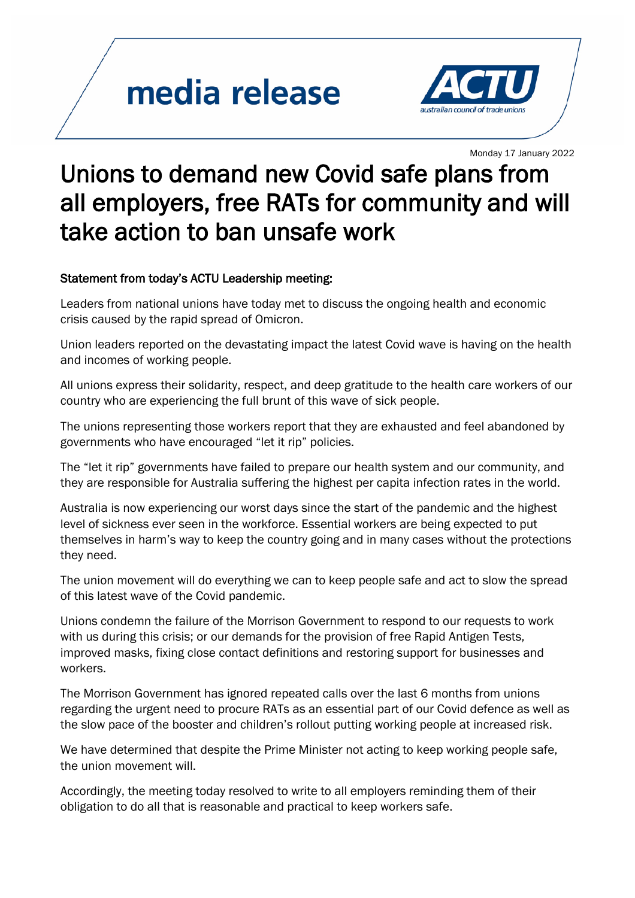## media release



Monday <sup>17</sup> January 2022

## Unions to demand new Covid safe plans from all employers, free RATs for community and will take action to ban unsafe work

## Statement from today's ACTU Leadership meeting:

Leaders from national unions have today met to discuss the ongoing health and economic crisis caused by the rapid spread of Omicron.

Union leaders reported on the devastating impact the latest Covid wave is having on the health and incomes of working people.

All unions express their solidarity, respect, and deep gratitude to the health care workers of our country who are experiencing the full brunt of this wave of sick people.

The unions representing those workers report that they are exhausted and feel abandoned by governments who have encouraged "let it rip" policies.

The "let it rip" governments have failed to prepare our health system and our community, and they are responsible for Australia suffering the highest per capita infection rates in the world.

Australia is now experiencing our worst days since the start of the pandemic and the highest level of sickness ever seen in the workforce. Essential workers are being expected to put themselves in harm's way to keep the country going and in many cases without the protections they need.

The union movement will do everything we can to keep people safe and act to slow the spread of this latest wave of the Covid pandemic.

Unions condemn the failure of the Morrison Government to respond to our requests to work with us during this crisis; or our demands for the provision of free Rapid Antigen Tests, improved masks, fixing close contact definitions and restoring support for businesses and workers.

The Morrison Government has ignored repeated calls over the last 6 months from unions regarding the urgent need to procure RATs as an essential part of our Covid defence as well as the slow pace of the booster and children's rollout putting working people at increased risk.

We have determined that despite the Prime Minister not acting to keep working people safe, the union movement will.

Accordingly, the meeting today resolved to write to all employers reminding them of their obligation to do all that is reasonable and practical to keep workers safe.